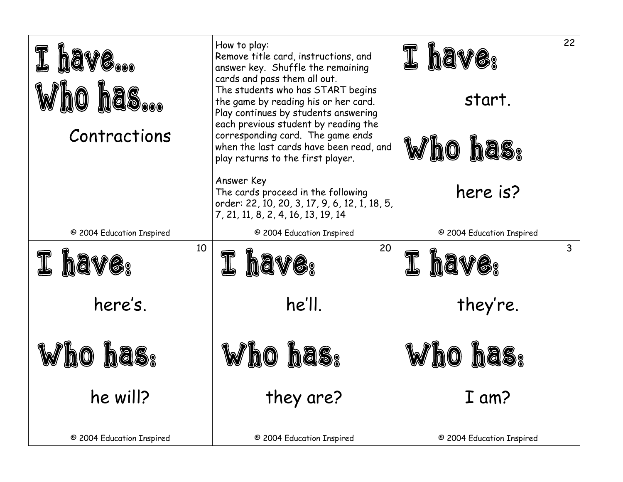| have<br>has<br>Contractions | How to play:<br>Remove title card, instructions, and<br>answer key. Shuffle the remaining<br>cards and pass them all out.<br>The students who has START begins<br>the game by reading his or her card.<br>Play continues by students answering<br>each previous student by reading the<br>corresponding card. The game ends<br>when the last cards have been read, and<br>play returns to the first player.<br>Answer Key<br>The cards proceed in the following<br>order: 22, 10, 20, 3, 17, 9, 6, 12, 1, 18, 5,<br>7, 21, 11, 8, 2, 4, 16, 13, 19, 14 | 22<br>I have:<br>start.<br>has:<br>Who<br>here is? |
|-----------------------------|--------------------------------------------------------------------------------------------------------------------------------------------------------------------------------------------------------------------------------------------------------------------------------------------------------------------------------------------------------------------------------------------------------------------------------------------------------------------------------------------------------------------------------------------------------|----------------------------------------------------|
| © 2004 Education Inspired   | © 2004 Education Inspired                                                                                                                                                                                                                                                                                                                                                                                                                                                                                                                              | © 2004 Education Inspired                          |
| 10<br>have:                 | 20<br>have:                                                                                                                                                                                                                                                                                                                                                                                                                                                                                                                                            | 3<br>have:                                         |
| here's.                     | he'll.                                                                                                                                                                                                                                                                                                                                                                                                                                                                                                                                                 | they're.                                           |
| has:                        | has.<br>$\ln$ 0                                                                                                                                                                                                                                                                                                                                                                                                                                                                                                                                        | $h$ as.                                            |
| he will?                    | they are?                                                                                                                                                                                                                                                                                                                                                                                                                                                                                                                                              | I am?                                              |
| © 2004 Education Inspired   | © 2004 Education Inspired                                                                                                                                                                                                                                                                                                                                                                                                                                                                                                                              | © 2004 Education Inspired                          |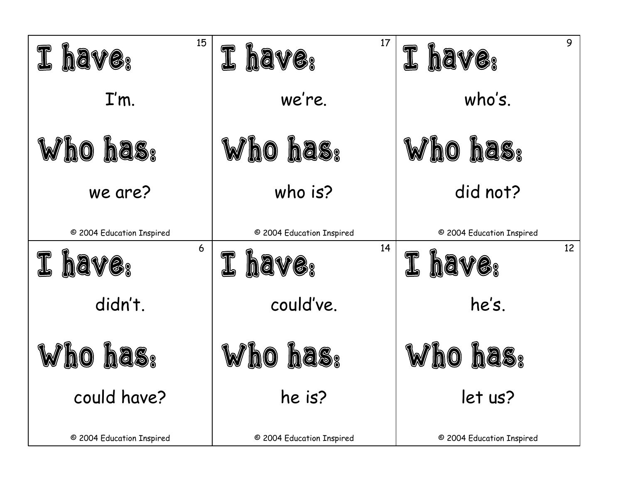| 15<br>I<br>have:                  | 17<br>${\mathbb T}$<br>have: | 9<br>have:                           |
|-----------------------------------|------------------------------|--------------------------------------|
| $I'm$ .                           | we're.                       | who's.                               |
| has:<br>$\textcircled{\small{0}}$ | has:<br>W<br><b>ho</b>       | has:<br>$\circledcirc$<br>$\sqrt{2}$ |
| we are?                           | who is?                      | did not?                             |
| © 2004 Education Inspired         | © 2004 Education Inspired    | @ 2004 Education Inspired            |
| 6<br>I<br>ave:<br><b>IQ</b>       | 14<br>have:                  | 12<br><b>AVC:</b>                    |
| didn't.                           | could've.                    | he's.                                |
| has,                              | has,<br>ho)                  | $h$ as,                              |
| could have?                       | he is?                       | let us?                              |
| © 2004 Education Inspired         | © 2004 Education Inspired    | © 2004 Education Inspired            |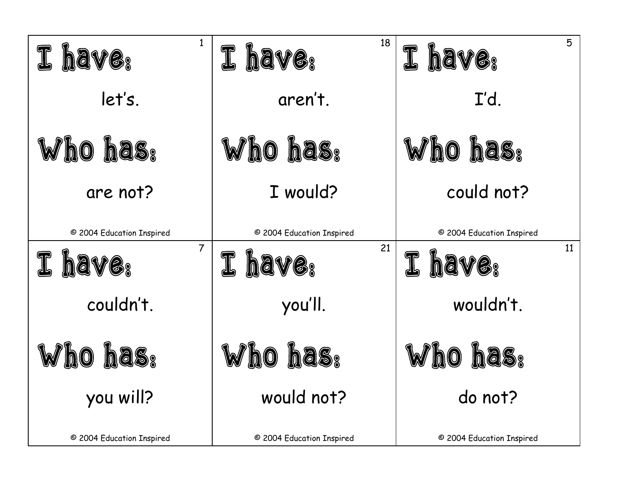| $\mathbf{1}$<br>I<br>have:         | 18<br>have:                  | 5<br>have:                  |
|------------------------------------|------------------------------|-----------------------------|
| let's.                             | aren't.                      | I'd.                        |
| has:<br>In                         | Who<br>has:                  | has:<br>$\circledcirc$<br>h |
| are not?                           | I would?                     | could not?                  |
| © 2004 Education Inspired          | © 2004 Education Inspired    | © 2004 Education Inspired   |
| $\overline{7}$<br>I<br>ave:<br>IQ, | 21<br>have:                  | 11<br>ave:<br>IQ            |
| couldn't.                          | you'll.                      | wouldn't.                   |
| $h$ as,                            | has:<br>$\circledcirc$<br>In | has:                        |
| you will?                          | would not?                   | do not?                     |
| © 2004 Education Inspired          | © 2004 Education Inspired    | © 2004 Education Inspired   |